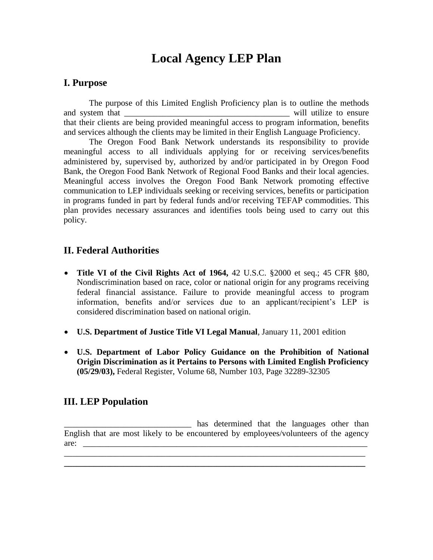# **Local Agency LEP Plan**

#### **I. Purpose**

The purpose of this Limited English Proficiency plan is to outline the methods and system that  $\Box$  will utilize to ensure that their clients are being provided meaningful access to program information, benefits and services although the clients may be limited in their English Language Proficiency.

The Oregon Food Bank Network understands its responsibility to provide meaningful access to all individuals applying for or receiving services/benefits administered by, supervised by, authorized by and/or participated in by Oregon Food Bank, the Oregon Food Bank Network of Regional Food Banks and their local agencies. Meaningful access involves the Oregon Food Bank Network promoting effective communication to LEP individuals seeking or receiving services, benefits or participation in programs funded in part by federal funds and/or receiving TEFAP commodities. This plan provides necessary assurances and identifies tools being used to carry out this policy.

#### **II. Federal Authorities**

- **Title VI of the Civil Rights Act of 1964,** 42 U.S.C. §2000 et seq.; 45 CFR §80, Nondiscrimination based on race, color or national origin for any programs receiving federal financial assistance. Failure to provide meaningful access to program information, benefits and/or services due to an applicant/recipient's LEP is considered discrimination based on national origin.
- **U.S. Department of Justice Title VI Legal Manual**, January 11, 2001 edition
- **U.S. Department of Labor Policy Guidance on the Prohibition of National Origin Discrimination as it Pertains to Persons with Limited English Proficiency (05/29/03),** Federal Register, Volume 68, Number 103, Page 32289-32305

#### **III. LEP Population**

\_\_\_\_\_\_\_\_\_\_\_\_\_\_\_\_\_\_\_\_\_\_\_\_\_\_\_\_\_\_ has determined that the languages other than English that are most likely to be encountered by employees/volunteers of the agency are:

\_\_\_\_\_\_\_\_\_\_\_\_\_\_\_\_\_\_\_\_\_\_\_\_\_\_\_\_\_\_\_\_\_\_\_\_\_\_\_\_\_\_\_\_\_\_\_\_\_\_\_\_\_\_\_\_\_\_\_\_\_\_\_\_\_\_\_\_\_\_\_ **\_\_\_\_\_\_\_\_\_\_\_\_\_\_\_\_\_\_\_\_\_\_\_\_\_\_\_\_\_\_\_\_\_\_\_\_\_\_\_\_\_\_\_\_\_\_\_\_\_\_\_\_\_\_\_\_\_\_\_\_\_\_\_\_\_\_\_\_\_\_\_**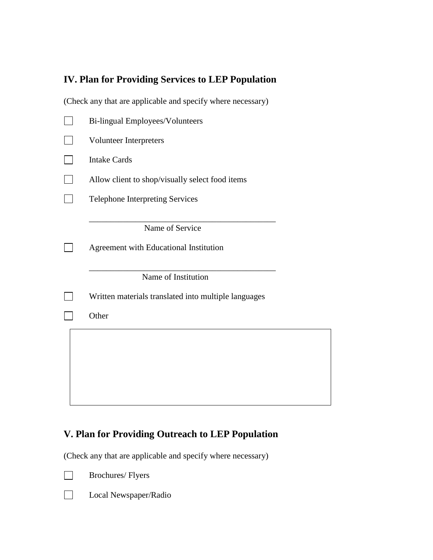## **IV. Plan for Providing Services to LEP Population**

(Check any that are applicable and specify where necessary)

| Bi-lingual Employees/Volunteers                           |
|-----------------------------------------------------------|
| Volunteer Interpreters                                    |
| <b>Intake Cards</b>                                       |
| Allow client to shop/visually select food items           |
| <b>Telephone Interpreting Services</b>                    |
| Name of Service<br>Agreement with Educational Institution |
| Name of Institution                                       |
| Written materials translated into multiple languages      |
| Other                                                     |
|                                                           |

### **V. Plan for Providing Outreach to LEP Population**

(Check any that are applicable and specify where necessary)



Brochures/ Flyers



Local Newspaper/Radio